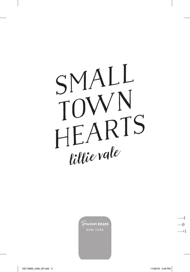

 $\geq$ WOON READS NEW YORK THE RESEARCH STREET IN THE RESEARCH STREET IN THE RESEARCH STREET IN THE RESEARCH STREET IN THE RESEARCH STREET IN THE RESEARCH STREET IN THE RESEARCH STREET IN THE RESEARCH STREET IN THE RESEARCH STREET IN THE RE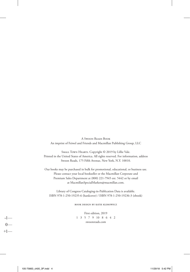A Swoon Reads Book An imprint of Feiwel and Friends and Macmillan Publishing Group, LLC

SMALL TOWN HEARTS. Copyright © 2019 by Lillie Vale. Printed in the United States of America. All rights reserved. For information, address Swoon Reads, 175 Fifth Avenue, New York, N.Y. 10010.

Our books may be purchased in bulk for promotional, educational, or business use. Please contact your local bookseller or the Macmillan Corporate and Premium Sales Department at (800) 221-7945 ext. 5442 or by email at MacmillanSpecialMarkets@macmillan.com.

Library of Congress Cataloging-in-Publication Data is available. ISBN 978-1-250-19235-6 (hardcover) / ISBN 978-1-250-19236-3 (ebook)

Book design by Katie Klimowicz

First edition, 2019 1 3 5 7 9 10 8 6 4 2 swoonreads.com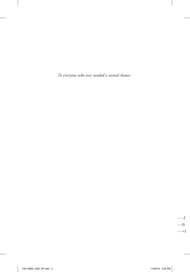*To everyone who ever needed a second chance*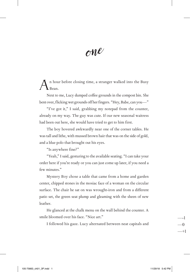$\mathcal{O}$ 

**A**n hour before closing time, a stranger walked into the Busy Bean.

Next to me, Lucy dumped coffee grounds in the compost bin. She bent over, flicking wet grounds off her fingers. "Hey, Babe, can you—"

"I've got it," I said, grabbing my notepad from the counter, already on my way. The guy was cute. If our new seasonal waitress had been out here, she would have tried to get to him first.

The boy hovered awkwardly near one of the corner tables. He was tall and lithe, with mussed brown hair that was on the side of gold, and a blue polo that brought out his eyes.

"Is anywhere fine?"

"Yeah," I said, gesturing to the available seating. "I can take your order here if you're ready or you can just come up later, if you need a few minutes."

Mystery Boy chose a table that came from a home and garden center, chipped stones in the mosiac face of a woman on the circular surface. The chair he sat on was wrought-iron and from a different patio set, the green seat plump and gleaming with the sheen of new leather.

He glanced at the chalk menu on the wall behind the counter. A smile bloomed over his face. "Nice art."

I followed his gaze. Lucy alternated between neat capitals and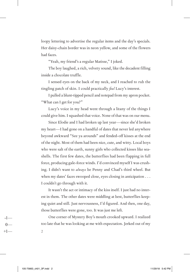loopy lettering to advertise the regular items and the day's specials. Her daisy-chain border was in neon yellow, and some of the flowers had faces.

"Yeah, my friend's a regular Matisse," I joked.

The boy laughed, a rich, velvety sound, like the decadent filling inside a chocolate truffle.

I sensed eyes on the back of my neck, and I reached to rub the tingling patch of skin. I could practically *feel* Lucy's interest.

I pulled a blunt-tipped pencil and notepad from my apron pocket. "What can I get for you?"

Lucy's voice in my head went through a litany of the things I could give him. I squashed that voice. None of that was on our menu.

Since Elodie and I had broken up last year—since she'd broken my heart—I had gone on a handful of dates that never led anywhere beyond awkward "See ya arounds" and fended-off kisses at the end of the night. Most of them had been nice, cute, and witty. Local boys who were salt of the earth, sunny girls who collected kisses like seashells. The first few dates, the butterflies had been flapping in full force, producing gale-force winds. I'd convinced myself I was crushing. I didn't want to *always* be Penny and Chad's third wheel. But when my dates' faces swooped close, eyes closing in anticipation . . . I couldn't go through with it.

It wasn't the act or intimacy of the kiss itself. I just had no interest in them. The other dates were middling at best, butterflies keeping quiet and still. Just nervousness, I'd figured. And then, one day, those butterflies were gone, too. It was just me left.

One corner of Mystery Boy's mouth crooked upward. I realized too late that he was looking at me with expectation. Jerked out of my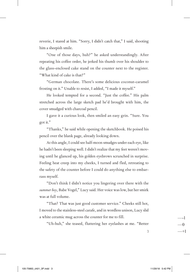reverie, I stared at him. "Sorry, I didn't catch that," I said, shooting him a sheepish smile.

"One of those days, huh?" he asked understandingly. After repeating his coffee order, he jerked his thumb over his shoulder to the glass-enclosed cake stand on the counter next to the register. "What kind of cake is that?"

"German chocolate. There's some delicious coconut-caramel frosting on it." Unable to resist, I added, "I made it myself."

He looked tempted for a second. "Just the coffee." His palm stretched across the large sketch pad he'd brought with him, the cover smudged with charcoal pencil.

I gave it a curious look, then smiled an easy grin. "Sure. You got it."

"Thanks," he said while opening the sketchbook. He poised his pencil over the blank page, already looking down.

At this angle, I could see half-moon smudges under each eye, like he hadn't been sleeping well. I didn't realize that my feet weren't moving until he glanced up, his golden eyebrows scrunched in surprise. Feeling heat creep into my cheeks, I turned and fled, retreating to the safety of the counter before I could do anything else to embarrass myself.

"Don't think I didn't notice you lingering over there with the *summer boy*, Babe Vogel," Lucy said. Her voice was low, but her smirk was at full volume.

"That? That was just good customer service." Cheeks still hot, I moved to the stainless-steel carafe, and in wordless unison, Lucy slid a white ceramic mug across the counter for me to fill.

"Uh-huh," she teased, fluttering her eyelashes at me. "Better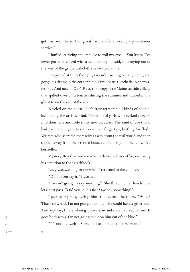get this over there. Along with some of that exemplary customer service"

I huffed, resisting the impulse to roll my eyes. "You know I've never gotten involved with a summer boy," I said, shimmying out of the way of the grimy dishcloth she swatted at me.

Despite what Lucy thought, I wasn't crushing on tall, blond, and gorgeous sitting in the corner table. Sure, he was aesthetic. And mysterious. And new to Oar's Rest, the sleepy little Maine seaside village that spilled over with tourists during the summer and turned into a ghost town the rest of the year.

Nestled on the coast, Oar's Rest attracted all kinds of people, but mostly the artistic kind. The kind of girls who tucked flowers into their hair and rode shiny new bicycles. The kind of boys who had paint and cigarette stains on their fingertips, battling for flesh. Writers who secreted themselves away from the real world and then slipped away from their rented houses and emerged in the fall with a bestseller.

Mystery Boy thanked me when I delivered his coffee, returning his attention to the sketchbook.

Lucy was waiting for me when I returned to the counter.

"Don't even say it," I warned.

"I wasn't going to say anything!" She threw up her hands. She let a beat pass. "Did you *see* his face? Go say something!"

I pursed my lips, eyeing him from across the room. "What? That's so weird. I'm not going to do that. He could have a girlfriend. And anyway, I hate when guys walk in and start to creep on me. It goes both ways. I'm not going to hit on him out of the blue."

"It's not that weird. Someone has to make the first move."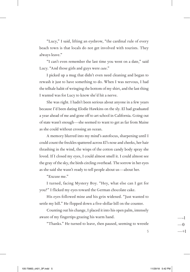"Lucy," I said, lifting an eyebrow, "the cardinal rule of every beach town is that locals do not get involved with tourists. They always leave."

"I can't even remember the last time you went on a date," said Lucy. "And those girls and guys were *cute*."

I picked up a mug that didn't even need cleaning and began to rewash it just to have something to do. When I was nervous, I had the telltale habit of wringing the bottom of my shirt, and the last thing I wanted was for Lucy to know she'd hit a nerve.

She was right. I hadn't been serious about anyone in a few years because I'd been dating Elodie Hawkins on the sly. El had graduated a year ahead of me and gone off to art school in California. Going out of state wasn't enough—she seemed to want to get as far from Maine as she could without crossing an ocean.

A memory blurred into my mind's autofocus, sharpening until I could count the freckles spattered across El's nose and cheeks, her hair thrashing in the wind, the wisps of the cotton candy body spray she loved. If I closed my eyes, I could almost smell it. I could almost see the gray of the sky, the birds circling overhead. The sorrow in her eyes as she said she wasn't ready to tell people about us—about her.

"Excuse me."

I turned, facing Mystery Boy. "Hey, what else can I get for you?" I flicked my eyes toward the German chocolate cake.

His eyes followed mine and his grin widened. "Just wanted to settle my bill." He flopped down a five-dollar bill on the counter.

Counting out his change, I placed it into his open palm, intensely aware of my fingertips grazing his warm hand.

"Thanks." He turned to leave, then paused, seeming to wrestle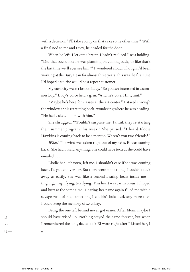with a decision. "I'll take you up on that cake some other time." With a final nod to me and Lucy, he headed for the door.

When he left, I let out a breath I hadn't realized I was holding. "Did that sound like he was planning on coming back, or like that's the last time we'll ever see him?" I wondered aloud. Though I'd been working at the Busy Bean for almost three years, this was the first time I'd hoped a tourist would be a repeat customer.

My curiosity wasn't lost on Lucy. "So you *are* interested in a summer boy." Lucy's voice held a grin. "And he's cute. Hint, hint."

"Maybe he's here for classes at the art center." I stared through the window at his retreating back, wondering where he was heading. "He had a sketchbook with him."

She shrugged. "Wouldn't surprise me. I think they're starting their summer program this week." She paused. "I heard Elodie Hawkins is coming back to be a mentor. Weren't you two friends?"

*What?* The wind was taken right out of my sails. El was coming back? She hadn't said anything. She could have texted, she could have emailed . . .

Elodie had left town, left me. I shouldn't care if she was coming back. I'd gotten over her. But there were some things I couldn't tuck away as easily. She was like a second beating heart inside me tingling, magnifying, terrifying. This heart was carnivorous. It hoped and hurt at the same time. Hearing her name again filled me with a savage rush of life, something I couldn't hold back any more than I could keep the memory of *us* at bay.

Being the one left behind never got easier. After Mom, maybe I should have wised up. Nothing stayed the same forever, but when I remembered the soft, dazed look El wore right after I kissed her, I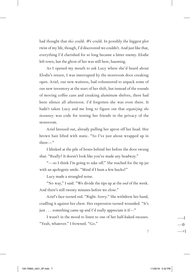had thought that *this* could. *We* could. In possibly the biggest plot twist of my life, though, I'd discovered we couldn't. And just like that, everything I'd cherished for so long became a bitter enemy. Elodie left town, but the ghost of her was still here, haunting.

As I opened my mouth to ask Lucy where she'd heard about Elodie's return, I was interrupted by the storeroom door creaking open. Ariel, our new waitress, had volunteered to unpack some of our new inventory at the start of her shift, but instead of the sounds of moving coffee cans and creaking aluminum shelves, there had been silence all afternoon. I'd forgotten she was even there. It hadn't taken Lucy and me long to figure out that *organizing the inventory* was code for texting her friends in the privacy of the storeroom.

Ariel breezed out, already pulling her apron off her head. Her brown hair lifted with static. "So I've just about wrapped up in there—"

I blinked at the pile of boxes behind her before the door swung shut. "Really? It doesn't look like you've made any headway."

"—so I think I'm going to take off." She reached for the tip jar with an apologetic smile. "Mind if I bum a few bucks?"

Lucy made a strangled noise.

"No way," I said. "We divide the tips up at the *end* of the week. And there's still twenty minutes before we close."

Ariel's face turned red. "Right. Sorry." She withdrew her hand, cradling it against her chest. Her expression turned wounded. "It's just . . . something came up and I'd really appreciate it if—"

I wasn't in the mood to listen to one of her half-baked excuses. "Yeah, whatever." I frowned. "Go."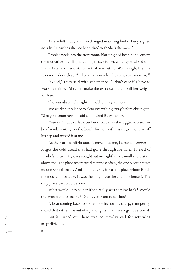As she left, Lucy and I exchanged matching looks. Lucy sighed noisily. "How has she not been fired yet? She's the *worst*."

I took a peek into the storeroom. Nothing had been done, except some creative shuffling that might have fooled a manager who didn't know Ariel and her distinct lack of work ethic. With a sigh, I let the storeroom door close. "I'll talk to Tom when he comes in tomorrow."

"Good," Lucy said with vehemence. "I don't care if I have to work overtime. I'd rather make the extra cash than pull her weight for free."

She was absolutely right. I nodded in agreement.

We worked in silence to clear everything away before closing up. "See you tomorrow," I said as I locked Busy's door.

"See ya!" Lucy called over her shoulder as she jogged toward her boyfriend, waiting on the beach for her with his dogs. He took off his cap and waved it at me.

As the warm sunlight outside enveloped me, I almost—*almost* forgot the cold dread that had gone through me when I heard of Elodie's return. My eyes sought out my lighthouse, small and distant above me. The place where we'd met most often, the one place in town no one would see us. And so, of course, it was the place where El felt the most comfortable. It was the only place she could be herself. The only place we could be a *we*.

What would I say to her if she really was coming back? Would she even want to see me? Did I even want to see her?

A boat coming back to shore blew its horn, a sharp, trumpeting sound that rattled me out of my thoughts. I felt like a girl overboard.

But it turned out there was no mayday call for returning ex-girlfriends.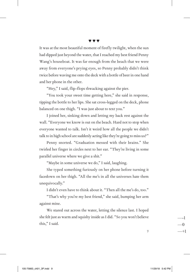## ♥ ♥ ♥

It was at the most beautiful moment of firefly twilight, when the sun had dipped just beyond the water, that I reached my best friend Penny Wang's houseboat. It was far enough from the beach that we were away from everyone's prying eyes, so Penny probably didn't think twice before waving me onto the deck with a bottle of beer in one hand and her phone in the other.

"Hey," I said, flip-flops thwacking against the pier.

"You took your sweet time getting here," she said in response, tipping the bottle to her lips. She sat cross-legged on the deck, phone balanced on one thigh. "I was just about to text you."

I joined her, sinking down and letting my back rest against the wall. "Everyone we know is out on the beach. Hard not to stop when everyone wanted to talk. Isn't it weird how all the people we didn't talk to in high school are suddenly acting like they're going to miss us?"

Penny snorted. "Graduation messed with their brains." She twirled her finger in circles next to her ear. "They're living in some parallel universe where we give a shit."

"Maybe in some universe we do," I said, laughing.

She typed something furiously on her phone before turning it facedown on her thigh. "All the me's in all the universes hate them unequivocally."

I didn't even have to think about it. "Then all the me's do, too."

"That's why you're my best friend," she said, bumping her arm against mine.

We stared out across the water, letting the silence last. I hoped she felt just as warm and squishy inside as I did. "So you won't believe this," I said.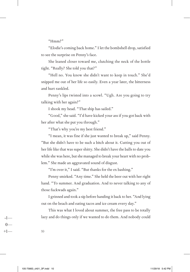$"Hmm"$ 

"Elodie's coming back home." I let the bombshell drop, satisfied to see the surprise on Penny's face.

She leaned closer toward me, clutching the neck of the bottle tight. "Really? She told you that?"

"Hell no. You know she didn't want to keep in touch." She'd snipped me out of her life so easily. Even a year later, the bitterness and hurt rankled.

Penny's lips twisted into a scowl. "Ugh. Are you going to try talking with her again?"

I shook my head. "That ship has sailed."

"Good," she said. "I'd have kicked your ass if you got back with her after what she put you through."

"That's why you're my best friend."

"I mean, it was fine if she just wanted to break up," said Penny. "But she didn't have to be such a bitch about it. Cutting you out of her life like that was super shitty. She didn't have the balls to date you while she was here, but she managed to break your heart with no problem." She made an aggravated sound of disgust.

"I'm over it," I said. "But thanks for the ex bashing."

Penny smirked. "Any time." She held the beer out with her right hand. "To summer. And graduation. And to never talking to any of those fuckwads again."

I grinned and took a sip before handing it back to her. "And lying out on the beach and eating tacos and ice cream every day."

This was what I loved about summer, the free pass to be totally lazy and do things only if we wanted to do them. And nobody could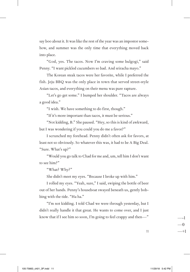say boo about it. It was like the rest of the year was an impostor somehow, and summer was the only time that everything moved back into place.

"God, yes. The tacos. Now I'm craving some bulgogi," said Penny. "I want pickled cucumbers so bad. And sriracha mayo."

The Korean steak tacos were her favorite, while I preferred the fish. Jeju BBQ was the only place in town that served street-style Asian tacos, and everything on their menu was pure rapture.

"Let's go get some." I bumped her shoulder. "Tacos are always a good idea."

"I wish. We have something to do first, though."

"If it's more important than tacos, it must be serious."

"Not kidding, B." She paused. "Hey, so this is kind of awkward, but I was wondering if you could you do me a favor?"

I scrunched my forehead. Penny didn't often ask for favors, at least not so obviously. So whatever this was, it had to be A Big Deal. "Sure. What's up?"

"Would you go talk to Chad for me and, um, tell him I don't want to see him?"

"What? Why?"

She didn't meet my eyes. "Because I broke up with him."

I rolled my eyes. "Yeah, sure," I said, swiping the bottle of beer out of her hands. Penny's houseboat swayed beneath us, gently bobbing with the tide. "Ha ha."

"I'm not kidding. I told Chad we were through yesterday, but I didn't really handle it that great. He wants to come over, and I just know that if I see him so soon, I'm going to feel crappy and then—"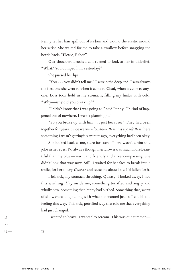Penny let her hair spill out of its bun and wound the elastic around her wrist. She waited for me to take a swallow before snagging the bottle back. "Please, Babe?"

Our shoulders brushed as I turned to look at her in disbelief. "What? You dumped him yesterday?"

She pursed her lips.

"You . . . you didn't tell me." I was in the deep end. I was always the first one she went to when it came to Chad, when it came to anyone. Loss took hold in my stomach, filling my limbs with cold. "Why—why did you break up?"

"I didn't know that I was going to," said Penny. "It kind of happened out of nowhere. I wasn't planning it."

"So you broke up with him . . . just because?" They had been together for years. Since we were fourteen. Was this a joke? Was there something I wasn't getting? A minute ago, everything had been okay.

She looked back at me, stare for stare. There wasn't a hint of a joke in her eyes. I'd always thought her brown was much more beautiful than my blue—warm and friendly and all-encompassing. She didn't look that way now. Still, I waited for her face to break into a smile, for her to cry *Gotcha!* and tease me about how I'd fallen for it.

I felt sick, my stomach thrashing. Queasy, I looked away. I had this writhing *thing* inside me, something terrified and angry and wholly new. Something that Penny had birthed. Something that, worst of all, wanted to go along with what she wanted just so I could stop feeling this way. This sick, petrified way that told me that everything had just changed.

I wanted to heave. I wanted to scream. This was our summer—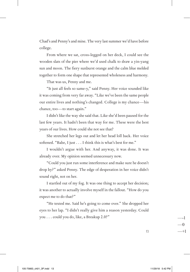Chad's and Penny's and mine. The very last summer we'd have before college.

From where we sat, cross-legged on her deck, I could see the wooden slats of the pier where we'd used chalk to draw a yin-yang sun and moon. The fiery sunburst orange and the calm blue melded together to form one shape that represented wholeness and harmony.

That was us, Penny and me.

"It just all feels so same-y," said Penny. Her voice sounded like it was coming from very far away. "Like we've been the same people our entire lives and nothing's changed. College is my chance—his chance, too—to start again."

I didn't like the way she said that. Like she'd been paused for the last few years. It hadn't been that way for me. These were the best years of our lives. How could she not see that?

She stretched her legs out and let her head loll back. Her voice softened. "Babe, I just . . . I think this is what's best for me."

I wouldn't argue with her. And anyway, it was done. It was already over. My opinion seemed unnecessary now.

"Could you just run some interference and make sure he doesn't drop by?" asked Penny. The edge of desperation in her voice didn't sound right, not on her.

I startled out of my fog. It was one thing to accept her decision; it was another to actually involve myself in the fallout. "How do you expect me to do that?"

"He texted me. Said he's going to come over." She dropped her eyes to her lap. "I didn't really give him a reason yesterday. Could you . . . could you do, like, a Breakup 2.0?"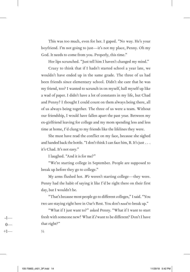This was too much, even for her. I gaped. "No way. He's your boyfriend. I'm not going to just—it's not my place, Penny. Oh my God. It needs to come from you. Properly, this time."

Her lips scrunched. "Just tell him I haven't changed my mind."

Crazy to think that if I hadn't started school a year late, we wouldn't have ended up in the same grade. The three of us had been friends since elementary school. Didn't she care that he was my friend, too? I wanted to scrunch in on myself, ball myself up like a wad of paper. I didn't have a lot of constants in my life, but Chad and Penny? I thought I could count on them always being there, all of us always being together. The three of us were a team. Without our friendship, I would have fallen apart the past year. Between my ex-girlfriend leaving for college and my mom spending less and less time at home, I'd clung to my friends like the lifelines they were.

She must have read the conflict on my face, because she sighed and handed back the bottle. "I don't think I can face him, B. It's just . . . it's Chad. It's not easy."

I laughed. "And it is for me?"

"We're starting college in September. People are supposed to break up before they go to college."

My arms flushed hot. *We* weren't starting college—they were. Penny had the habit of saying it like I'd be right there on their first day, but I wouldn't be.

"That's because most people go to different colleges," I said. "You two are staying right here in Oar's Rest. You don't *need* to break up."

"What if I just want to?" asked Penny. "What if I want to start fresh with someone new? What if *I* want to be different? Don't I have that right?"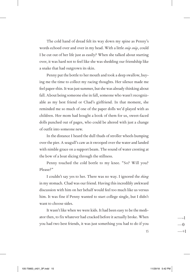The cold hand of dread felt its way down my spine as Penny's words echoed over and over in my head. With a little *snip snip*, could I be cut out of her life just as easily? When she talked about starting over, it was hard not to feel like she was shedding our friendship like a snake that had outgrown its skin.

Penny put the bottle to her mouth and took a deep swallow, buying me the time to collect my racing thoughts. Her silence made me feel paper-thin. It was just summer, but she was already thinking about fall. About being someone else in fall, someone who wasn't recognizable as my best friend or Chad's girlfriend. In that moment, she reminded me so much of one of the paper dolls we'd played with as children. Her mom had bought a book of them for us, sweet-faced dolls punched out of pages, who could be altered with just a change of outfit into someone new.

In the distance I heard the dull thuds of stroller wheels bumping over the pier. A seagull's caw as it swooped over the water and landed with nimble grace on a support beam. The sound of water cresting at the bow of a boat slicing through the stillness.

Penny touched the cold bottle to my knee. "So? Will you? Please?"

I couldn't say yes to her. There was no way. I ignored the *thing* in my stomach. Chad was our friend. Having this incredibly awkward discussion with him on her behalf would feel too much like us versus him. It was fine if Penny wanted to start college single, but I didn't want to choose sides.

It wasn't like when we were kids. It had been easy to be the mediator then, to fix whatever had cracked before it actually broke. When you had two best friends, it was just something you had to do if you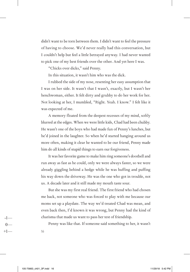didn't want to be torn between them. I didn't want to feel the pressure of having to choose. We'd never really had this conversation, but I couldn't help but feel a little betrayed anyway. I had never wanted to pick one of my best friends over the other. And yet here I was.

"Chicks over dicks," said Penny.

In this situation, it wasn't him who was the dick.

I rubbed the side of my nose, resenting her easy assumption that I was on her side. It wasn't that I wasn't, exactly, but I wasn't her henchwoman, either. It felt dirty and grubby to do her work for her. Not looking at her, I mumbled, "Right. Yeah. I know." I felt like it was expected of me.

A memory floated from the deepest recesses of my mind, softly blurred at the edges. When we were little kids, Chad had been chubby. He wasn't one of the boys who had made fun of Penny's lunches, but he'd joined in the laughter. So when he'd started hanging around us more often, making it clear he wanted to be our friend, Penny made him do all kinds of stupid things to earn our forgiveness.

It was her favorite game to make him ring someone's doorbell and run away as fast as he could, only we were always faster, so we were already giggling behind a hedge while he was huffing and puffing his way down the driveway. He was the one who got in trouble, not us. A decade later and it still made my mouth taste sour.

But she was my first real friend. The first friend who had chosen me back, not someone who was forced to play with me because our moms set up a playdate. The way we'd treated Chad was mean, and even back then, I'd known it was wrong, but Penny had the kind of charisma that made us want to pass her test of friendship.

Penny was like that. If someone said something to her, it wasn't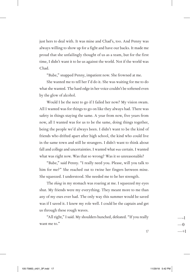just hers to deal with. It was mine and Chad's, too. And Penny was always willing to show up for a fight and have our backs. It made me proud that she unfailingly thought of us as a team, but for the first time, I didn't want it to be us against the world. Not if the world was Chad.

"Babe," snapped Penny, impatient now. She frowned at me.

She wanted me to tell her I'd do it. She was waiting for me to do what she wanted. The hard edge in her voice couldn't be softened even by the glow of alcohol.

Would I be the next to go if I failed her now? My vision swam. All I wanted was for things to go on like they always had. There was safety in things staying the same. A year from now, five years from now, all I wanted was for us to be the same, doing things together, being the people we'd always been. I didn't want to be the kind of friends who drifted apart after high school, the kind who could live in the same town and still be strangers. I didn't want to think about fall and college and uncertainties. I wanted what *was* certain. I wanted what was right now. Was that so wrong? Was it so unreasonable?

"Babe," said Penny. "I really need you. Please, will you talk to him for me?" She reached out to twine her fingers between mine. She squeezed. I understood. She needed me to be her strength.

The *thing* in my stomach was roaring at me. I squeezed my eyes shut. My friends were my everything. They meant more to me than any of my exes ever had. The only way this summer would be saved was if I saved it. I knew my role well. I could be the captain and get us through these rough waves.

"All right," I said. My shoulders hunched, defeated. "If you really want me to."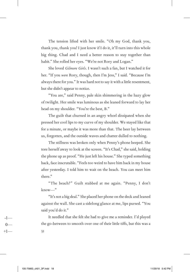The tension lifted with her smile. "Oh my God, thank you, thank you, thank you! I just know if I do it, it'll turn into this whole big thing. Chad and I need a better reason to stay together than habit." She rolled her eyes. "We're not Rory and Logan."

She loved *Gilmore Girls*. I wasn't such a fan, but I watched it for her. "If you *were* Rory, though, then I'm Jess," I said. "Because I'm always there for you." It was hard not to say it with a little resentment, but she didn't appear to notice.

"You are," said Penny, pale skin shimmering in the hazy glow of twilight. Her smile was luminous as she leaned forward to lay her head on my shoulder. "You're the best, B."

The guilt that churned in an angry whorl dissipated when she pressed her cool lips to my curve of my shoulder. We stayed like that for a minute, or maybe it was more than that. The beer lay between us, forgotten, and the outside waves and chatter dulled to nothing.

The stillness was broken only when Penny's phone beeped. She tore herself away to look at the screen. "It's Chad," she said, holding the phone up as proof. "He just left his house." She typed something back, face inscrutable. "Feels too weird to have him back in my house after yesterday. I told him to wait on the beach. You can meet him there."

"The beach?" Guilt stabbed at me again. "Penny, I don't  $k$ now—"

"It's not a big deal." She placed her phone on the deck and leaned against the wall. She cast a sidelong glance at me, lips pursed. "You said you'd do it."

**18** It needled that she felt she had to give me a reminder. I'd played the go-between to smooth over one of their little tiffs, but this was a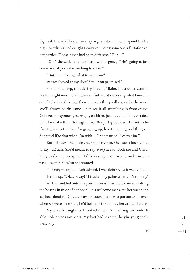big deal. It wasn't like when they argued about how to spend Friday night or when Chad caught Penny returning someone's flirtations at her parties. Those times had been different. "But—"

"Go!" she said, her voice sharp with urgency. "He's going to just come over if you take too long to show."

"But I don't know what to say to—"

Penny shoved at my shoulder. "You promised."

She took a deep, shuddering breath. "Babe, I just don't want to see him right now. I don't want to feel bad about doing what I need to do. If I don't do this now, then . . . everything will always be the same. We'll always be the same. I can see it all stretching in front of me. College, engagement, marriage, children, just . . . all of it! I can't deal with love like this. Not right now. We just graduated. I want to be *free*. I want to feel like I'm growing up, like I'm doing real things. I don't feel like that when I'm with—" She paused. "With him."

But I'd heard that little crack in her voice. She hadn't been about to say *with him*. She'd meant to say *with you two*. Both me and Chad. Tingles shot up my spine. If this was my test, I would make sure to pass. I would do what she wanted.

The *thing* in my stomach calmed. I was doing what it wanted, too. I stood up. "Okay, okay!" I flashed my palms at her. "I'm going."

As I scrambled onto the pier, I almost lost my balance. Dotting the boards in front of her boat like a welcome mat were her yacht and sailboat doodles. Chad always encouraged her to pursue art—even when we were little kids, he'd been the first to buy her arts and crafts.

My breath caught as I looked down. Something uncomfortable stole across my heart. My foot had severed the yin-yang chalk drawing.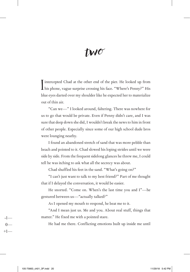# two

I intercepted Chad at the other end of the pier. He looked up from his phone, vague surprise crossing his face. "Where's Penny?" His blue eyes darted over my shoulder like he expected her to materialize out of thin air.

"Can we—" I looked around, faltering. There was nowhere for us to go that would be private. Even if Penny didn't care, and I was sure that deep down she did, I wouldn't break the news to him in front of other people. Especially since some of our high school dude bros were lounging nearby.

I found an abandoned stretch of sand that was more pebble than beach and pointed to it. Chad slowed his loping strides until we were side by side. From the frequent sidelong glances he threw me, I could tell he was itching to ask what all the secrecy was about.

Chad shuffled his feet in the sand. "What's going on?"

"I can't just want to talk to my best friend?" Part of me thought that if I delayed the conversation, it would be easier.

He snorted. "Come on. When's the last time you and I"—he gestured between us—"actually talked?"

As I opened my mouth to respond, he beat me to it.

"And I mean just us. Me and you. About real stuff, things that matter." He fixed me with a pointed stare.

He had me there. Conflicting emotions built up inside me until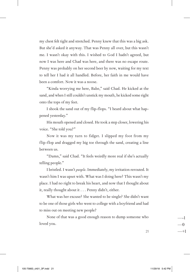my chest felt tight and stretched. Penny knew that this was a big ask. But she'd asked it anyway. That was Penny all over, but this wasn't me. I wasn't okay with this. I wished to God I hadn't agreed, but now I was here and Chad was here, and there was no escape route. Penny was probably on her second beer by now, waiting for my text to tell her I had it all handled. Before, her faith in me would have been a comfort. Now it was a noose.

"Kinda worrying me here, Babe," said Chad. He kicked at the sand, and when I still couldn't unstick my mouth, he kicked some right onto the tops of my feet.

I shook the sand out of my flip-flops. "I heard about what happened yesterday."

His mouth opened and closed. He took a step closer, lowering his voice. "She told you?"

Now it was my turn to fidget. I slipped my foot from my flip-flop and dragged my big toe through the sand, creating a line between us.

"Damn," said Chad. "It feels weirdly more real if she's actually telling people."

I bristled. I wasn't *people*. Immediately, my irritation rerouted. It wasn't him I was upset with. What was I doing here? This wasn't my place. I had no right to break his heart, and now that I thought about it, really thought about it . . . Penny didn't, either.

What was her excuse? She wanted to be single? She didn't want to be one of those girls who went to college with a boyfriend and had to miss out on meeting new people?

None of that was a good enough reason to dump someone who loved you.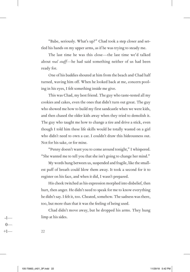"Babe, seriously. What's up?" Chad took a step closer and settled his hands on my upper arms, as if he was trying to steady me.

The last time he was this close—the last time we'd talked about *real stuff*—he had said something neither of us had been ready for.

One of his buddies shouted at him from the beach and Chad half turned, waving him off. When he looked back at me, concern pooling in his eyes, I felt something inside me give.

This was Chad, my best friend. The guy who taste-tested all my cookies and cakes, even the ones that didn't turn out great. The guy who showed me how to build my first sandcastle when we were kids, and then chased the older kids away when they tried to demolish it. The guy who taught me how to change a tire and drive a stick, even though I told him these life skills would be totally wasted on a girl who didn't need to own a car. I couldn't draw this hideousness out. Not for his sake, or for mine.

"Penny doesn't want you to come around tonight," I whispered. "She wanted me to tell you that she isn't going to change her mind."

My words hung between us, suspended and fragile, like the smallest puff of breath could blow them away. It took a second for it to register on his face, and when it did, I wasn't prepared.

His cheek twitched as his expression morphed into disbelief, then hurt, then anger. He didn't need to speak for me to know everything he didn't say. I felt it, too. Cheated, somehow. The sadness was there, too, but more than that it was the feeling of being used.

Chad didn't move away, but he dropped his arms. They hung limp at his sides.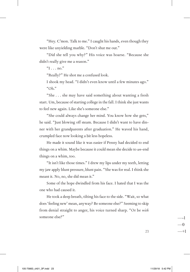"Hey. C'mon. Talk to me." I caught his hands, even though they were like unyielding marble. "Don't shut me out."

"Did she tell you why?" His voice was hoarse. "Because she didn't really give me a reason."

 $\mathrm{H}$   $\mathrm{no}$ "

"Really?" He shot me a confused look.

I shook my head. "I didn't even know until a few minutes ago." " $Oh$ "

"She . . . she may have said something about wanting a fresh start. Um, because of starting college in the fall. I think she just wants to feel new again. Like she's someone else."

"She could always change her mind. You know how she gets," he said. "Just blowing off steam. Because I didn't want to have dinner with her grandparents after graduation." He waved his hand, crumpled face now looking a bit less hopeless.

He made it sound like it was easier if Penny had decided to end things on a whim. Maybe because it could mean she decide to *un*-end things on a whim, too.

"It isn't like those times." I drew my lips under my teeth, letting my jaw apply blunt pressure, blunt pain. "She was for real. I think she meant it. No, no, she did mean it."

Some of the hope dwindled from his face. I hated that I was the one who had caused it.

He took a deep breath, tilting his face to the side. "Wait, so what does 'feeling new' mean, anyway? Be someone else?" Seeming to skip from denial straight to anger, his voice turned sharp. "Or be *with* someone else?"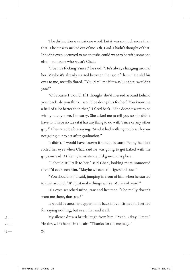The distinction was just one word, but it was so much more than that. The air was sucked out of me. Oh, God. I hadn't thought of that. It hadn't even occurred to me that she could want to be with someone else—someone who wasn't Chad.

"I bet it's fucking Vince," he said. "He's always hanging around her. Maybe it's already started between the two of them." He slid his eyes to me, nostrils flared. "You'd tell me if it was like that, wouldn't you?"

"Of course I would. If I thought she'd messed around behind your back, do you think I would be doing this for her? You know me a hell of a lot better than that," I fired back. "She doesn't want to be with you anymore. I'm sorry. She asked me to tell you so she didn't have to. I have no idea if it has anything to do with Vince or any other guy." I hesitated before saying, "And it had nothing to do with your not going out to eat after graduation."

It didn't. I would have known if it had, because Penny had just rolled her eyes when Chad said he was going to get baked with the guys instead. At Penny's insistence, I'd gone in his place.

"I should still talk to her," said Chad, looking more unmoored than I'd ever seen him. "Maybe we can still figure this out."

"You shouldn't," I said, jumping in front of him when he started to turn around. "It'd just make things worse. More awkward."

His eyes searched mine, raw and hesitant. "She really doesn't want me there, does she?"

It would be another dagger in his back if I confirmed it. I settled for saying nothing, but even that said it all.

My silence drew a brittle laugh from him. "Yeah. Okay. Great." He threw his hands in the air. "Thanks for the message."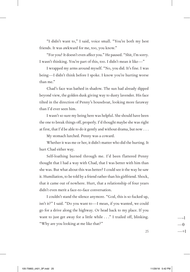"I didn't want to," I said, voice small. "You're both my best friends. It was awkward for me, too, you know."

"For you? It doesn't even affect you." He paused. "Shit, I'm sorry. I wasn't thinking. You're part of this, too. I didn't mean it like—"

I wrapped my arms around myself. "No, you did. It's fine. I was being—I didn't think before I spoke. I know you're hurting worse than me"

Chad's face was bathed in shadow. The sun had already dipped beyond view, the golden dusk giving way to dusty lavender. His face tilted in the direction of Penny's houseboat, looking more faraway than I'd ever seen him.

I wasn't so sure my being here was helpful. She should have been the one to break things off, properly. I'd thought maybe she was right at first, that I'd be able to do it gently and without drama, but now . . .

My stomach lurched. Penny was a coward.

Whether it was me or her, it didn't matter who did the hurting. It hurt Chad either way.

Self-loathing burned through me. I'd been flattered Penny thought that I had a way with Chad, that I was better with him than she was. But what about this was better? I could see it the way he saw it. Humiliation, to be told by a friend rather than his girlfriend. Shock, that it came out of nowhere. Hurt, that a relationship of four years didn't even merit a face-to-face conversation.

I couldn't stand the silence anymore. "God, this is so fucked up, isn't it?" I said. "Do you want to—I mean, if you wanted, we could go for a drive along the highway. Or head back to my place. If you want to just get away for a little while . . ." I trailed off, blinking. "Why are you looking at me like that?"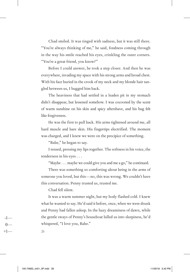Chad smiled. It was tinged with sadness, but it was still there. "You're always thinking of me," he said, fondness coming through in the way his smile reached his eyes, crinkling the outer corners. "You're a great friend, you know?"

Before I could answer, he took a step closer. And then he was everywhere, invading my space with his strong arms and broad chest. With his face buried in the crook of my neck and my blonde hair tangled between us, I hugged him back.

The heaviness that had settled in a leaden pit in my stomach didn't disappear, but lessened somehow. I was cocooned by the scent of warm sunshine on his skin and spicy aftershave, and his hug felt like forgiveness.

He was the first to pull back. His arms tightened around me, all hard muscle and bare skin. His fingertips electrified. The moment was charged, and I knew we were on the precipice of something.

"Babe," he began to say.

I tensed, pressing my lips together. The softness in his voice, the tenderness in his eyes . . .

"Maybe . . . maybe we could give you and me a go," he continued.

There was something so comforting about being in the arms of someone you loved, but this—no, this was wrong. We couldn't have this conversation. Penny trusted us, trusted me.

Chad fell silent.

It was a warm summer night, but my body flashed cold. I knew what he wanted to say. He'd said it before, once, when we were drunk and Penny had fallen asleep. In the hazy dreaminess of dawn, while the gentle sways of Penny's houseboat lulled us into sleepiness, he'd whispered, "I love you, Babe."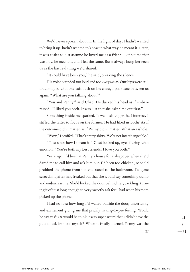We'd never spoken about it. In the light of day, I hadn't wanted to bring it up, hadn't wanted to know in what way he meant it. Later, it was easier to just assume he loved me as a friend—of course that was how he meant it, and I felt the same. But it always hung between us as the last real thing we'd shared.

"It could have been you," he said, breaking the silence.

His voice sounded too loud and too *everywhere*. Our hips were still touching, so with one soft push on his chest, I put space between us again. "What are you talking about?"

"You and Penny," said Chad. He ducked his head as if embarrassed. "I liked you both. It was just that she asked me out first."

Something inside me sparked. It was half anger, half interest. I stifled the latter to focus on the former. He had liked us both? As if the outcome didn't matter, as if Penny didn't matter. What an asshole.

"Wow," I scoffed. "That's pretty shitty. We're not interchangeable."

"That's not how I meant it!" Chad looked up, eyes flaring with emotion. "You're both my best friends. I love you both."

Years ago, I'd been at Penny's house for a sleepover when she'd dared me to call him and ask him out. I'd been too chicken, so she'd grabbed the phone from me and raced to the bathroom. I'd gone screeching after her, freaked out that she would say something dumb and embarrass me. She'd locked the door behind her, cackling, turning it off just long enough to very sweetly ask for Chad when his mom picked up the phone.

I had no idea how long I'd waited outside the door, uncertainty and excitement giving me that prickly having-to-pee feeling. Would he say yes? Or would he think it was super weird that I didn't have the guts to ask him out myself? When it finally opened, Penny was the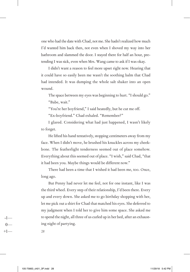one who had the date with Chad, not me. She hadn't realized how much I'd wanted him back then, not even when I shoved my way into her bathroom and slammed the door. I stayed there for half an hour, pretending I was sick, even when Mrs. Wang came to ask if I was okay.

I didn't want a reason to feel more upset right now. Hearing that it could have so easily been me wasn't the soothing balm that Chad had intended. It was dumping the whole salt shaker into an open wound.

The space between my eyes was beginning to hurt. "I should go." "Babe, wait."

"You're her boyfriend," I said heatedly, but he cut me off.

"Ex-boyfriend." Chad exhaled. "Remember?"

I glared. Considering what had just happened, I wasn't likely to forget.

He lifted his hand tentatively, stopping centimeters away from my face. When I didn't move, he brushed his knuckles across my cheekbone. The featherlight tenderness seemed out of place somehow. Everything about this seemed out of place. "I wish," said Chad, "that it had been you. Maybe things would be different now."

There had been a time that I wished it had been me, too. Once, long ago.

But Penny had never let me feel, not for one instant, like I was the third wheel. Every step of their relationship, I'd been there. Every up and every down. She asked me to go birthday shopping with her, let me pick out a shirt for Chad that matched his eyes. She deferred to my judgment when I told her to give him some space. She asked me to spend the night, all three of us curled up in her bed, after an exhausting night of partying.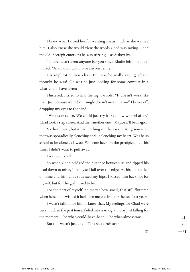I knew what I owed her for wanting me as much as she wanted him. I also knew she would view the words Chad was saying—and the old, decrepit emotions he was stirring—as disloyalty.

"There hasn't been anyone for you since Elodie left," he murmured. "And now I don't have anyone, either."

His implication was clear. But was he really saying what I thought he was? Or was he just looking for some comfort in a what-could-have-been?

Flustered, I tried to find the right words. "It doesn't work like that. Just because we're both single doesn't mean that—" I broke off, dropping my eyes to the sand.

"We make sense. We could just try it. See how we feel after." Chad took a step closer. And then another one. "Maybe it'll be magic."

My head hurt, but it had nothing on the excruciating sensation that was sporadically clenching and unclenching my heart. Was he as afraid to be alone as I was? We were back on the precipice, but this time, I didn't want to pull away.

I wanted to fall.

So when Chad bridged the distance between us and tipped his head down to mine, I let myself fall over the edge. As his lips settled on mine and his hands squeezed my hips, I kissed him back not for myself, but for the girl I used to be.

For the part of myself, no matter how small, that still fluttered when he said he wished it had been me and him for the last four years.

I wasn't falling for him, I knew that. My feelings for Chad were very much in the past tense, faded into nostalgia. I was just falling for the moment. The what-could-have-been. The what-almost-was.

But this wasn't just a fall. This was a ruination.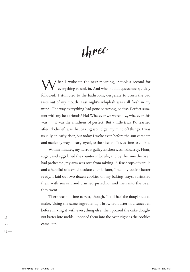three

When I woke up the next morning, it took a second for everything to sink in. And when it did, queasiness quickly followed. I stumbled to the bathroom, desperate to brush the bad taste out of my mouth. Last night's whiplash was still fresh in my mind. The way everything had gone so wrong, so fast. Perfect summer with my best friends? Ha! Whatever we were now, whatever this was . . . it was the antithesis of perfect. But a little trick I'd learned after Elodie left was that baking would get my mind off things. I was usually an early riser, but today I woke even before the sun came up and made my way, bleary-eyed, to the kitchen. It was time to cookie.

Within minutes, my narrow galley kitchen was in disarray. Flour, sugar, and eggs lined the counter in bowls, and by the time the oven had preheated, my arm was sore from mixing. A few drops of vanilla and a handful of dark chocolate chunks later, I had my cookie batter ready. I laid out two dozen cookies on my baking trays, sprinkled them with sea salt and crushed pistachio, and then into the oven they went.

There was no time to rest, though. I still had the doughnuts to make. Using the same ingredients, I browned butter in a saucepan before mixing it with everything else, then poured the cake doughnut batter into molds. I popped them into the oven right as the cookies came out.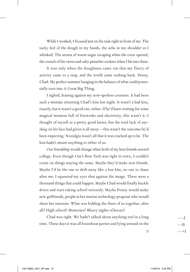While I worked, I focused just on the task right in front of me. The tacky feel of the dough in my hands, the ache in my shoulder as I whisked. The aroma of warm sugar escaping when the oven opened, tacky feel of the dough in my hands, the ache in my shoulder as I whisked. The aroma of warm sugar escaping when the oven opened, the crunch of the sweet and salty pistachio cookies when I bit into them.

> It was only when the doughnuts came out that my flurry of activity came to a stop, and the world came rushing back. Penny. Chad. My perfect summer hanging in the balance of what could potentially turn into A Great Big Thing.

> I sighed, leaning against my now-spotless counters. It had been such a mistake returning Chad's kiss last night. It wasn't a bad kiss, exactly, but it wasn't a good one, either. If he'd been waiting for some magical moment full of fireworks and electricity, this wasn't it. I thought of myself as a pretty good kisser, but the total lack of *anything* on his face had given it all away—this wasn't the outcome he'd been expecting. Nostalgia wasn't all that it was cracked up to be. The kiss hadn't meant anything to either of us.

> Our friendship would change when both of my best friends started college. Even though Oar's Rest Tech was right in town, I couldn't count on things staying the same. Maybe they'd make new friends. Maybe I'd be the one to drift away like a lost kite, no one to chase after me. I squeezed my eyes shut against the image. There were a thousand things that could happen. Maybe Chad would finally buckle down and start taking school seriously. Maybe Penny would make new girlfriends, people in her marine technology program who would share her interests. What was holding the three of us together, after all? High school? Memories? Blurry nights of booze?

> Chad was right. We hadn't talked about anything real in a long time. These days it was all houseboat parties and lying around on the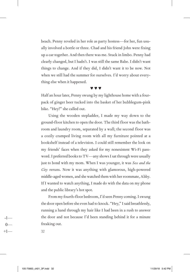beach. Penny reveled in her role as party hostess—for her, fun usually involved a bottle or three. Chad and his friend John were fixing up a car together. And then there was me. Stuck in limbo. Penny had clearly changed, but I hadn't. I was still the same Babe. I didn't want things to change. And if they did, I didn't want it to be now. Not when we still had the summer for ourselves. I'd worry about everything else when it happened.

#### ♥ ♥ ♥

Half an hour later, Penny swung by my lighthouse home with a fourpack of ginger beer tucked into the basket of her bubblegum-pink bike. "Hey!" she called out.

Using the wooden stepladder, I made my way down to the ground-floor kitchen to open the door. The third floor was the bathroom and laundry room, separated by a wall; the second floor was a cozily cramped living room with all my furniture pointed at a bookshelf instead of a television. I could still remember the look on my friends' faces when they asked for my nonexistent Wi-Fi password. I preferred books to TV—any shows I sat through were usually just to bond with my mom. When I was younger, it was *Sex and the City* reruns. Now it was anything with glamorous, high-powered middle-aged women, and she watched them with her roommate, Abby. If I wanted to watch anything, I made do with the data on my phone and the public library's hot spot.

From my fourth-floor bedroom, I'd seen Penny coming. I swung the door open before she even had to knock. "Hey," I said breathlessly, running a hand through my hair like I had been in a rush to answer the door and not because I'd been standing behind it for a minute freaking out.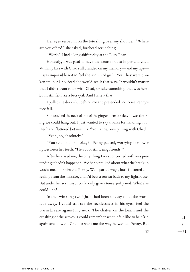Her eyes zeroed in on the tote slung over my shoulder. "Where are you off to?" she asked, forehead scrunching.

"Work." I had a long shift today at the Busy Bean.

Honestly, I was glad to have the excuse not to linger and chat. With my kiss with Chad still branded on my memory—and my lips it was impossible not to feel the scorch of guilt. Yes, they were broken up, but I doubted she would see it that way. It wouldn't matter that I didn't want to be with Chad, or take something that was hers, but it still felt like a betrayal. And I knew that.

I pulled the door shut behind me and pretended not to see Penny's face fall.

She touched the neck of one of the ginger-beer bottles. "I was thinking we could hang out. I just wanted to say thanks for handling . . ." Her hand fluttered between us. "You know, everything with Chad."

"Yeah, no, absolutely."

"You said he took it okay?" Penny paused, worrying her lower lip between her teeth. "He's cool still being friends?"

After he kissed me, the only thing I was concerned with was pretending it hadn't happened. We hadn't talked about what the breakup would mean for him and Penny. We'd parted ways, both flustered and reeling from the mistake, and I'd beat a retreat back to my lighthouse. But under her scrutiny, I could only give a tense, jerky nod. What else could I do?

In the twinkling twilight, it had been so easy to let the world fade away. I could still see the recklessness in his eyes, feel the warm breeze against my neck. The chatter on the beach and the crashing of the waves. I could remember what it felt like to be a kid again and to want Chad to want me the way he wanted Penny. But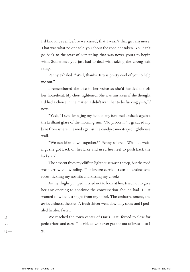I'd known, even before we kissed, that I wasn't that girl anymore. That was what no one told you about the road not taken. You can't go back to the start of something that was never yours to begin with. Sometimes you just had to deal with taking the wrong exit ramp.

Penny exhaled. "Well, thanks. It was pretty cool of you to help me out."

I remembered the bite in her voice as she'd hustled me off her houseboat. My chest tightened. She was mistaken if she thought I'd had a choice in the matter. I didn't want her to be fucking *grateful* now.

"Yeah," I said, bringing my hand to my forehead to shade against the brilliant glare of the morning sun. "No problem." I grabbed my bike from where it leaned against the candy-cane-striped lighthouse wall.

"We can bike down together?" Penny offered. Without waiting, she got back on her bike and used her heel to push back the kickstand.

The descent from my clifftop lighthouse wasn't steep, but the road was narrow and winding. The breeze carried traces of azaleas and roses, tickling my nostrils and kissing my cheeks.

As my thighs pumped, I tried not to look at her, tried not to give her any opening to continue the conversation about Chad. I just wanted to wipe last night from my mind. The embarrassment, the awkwardness, the kiss. A fresh shiver went down my spine and I pedaled harder, faster.

**34** We reached the town center of Oar's Rest, forced to slow for pedestrians and cars. The ride down never got me out of breath, so I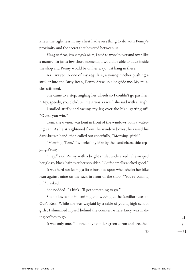knew the tightness in my chest had everything to do with Penny's proximity and the secret that hovered between us.

*Hang in there, just hang in there*, I said to myself over and over like a mantra. In just a few short moments, I would be able to duck inside the shop and Penny would be on her way. Just hang in there.

As I waved to one of my regulars, a young mother pushing a stroller into the Busy Bean, Penny drew up alongside me. My muscles stiffened.

She came to a stop, angling her wheels so I couldn't go past her. "Hey, speedy, you didn't tell me it was a race!" she said with a laugh.

I smiled stiffly and swung my leg over the bike, getting off. "Guess you win."

Tom, the owner, was bent in front of the windows with a watering can. As he straightened from the window boxes, he raised his dark-brown hand, then called out cheerfully, "Morning, girls!"

"Morning, Tom." I wheeled my bike by the handlebars, sidestepping Penny.

"Hey," said Penny with a bright smile, undeterred. She swiped her glossy black hair over her shoulder. "Coffee smells wicked good."

It was hard not feeling a little intruded upon when she let her bike lean against mine on the rack in front of the shop. "You're coming in?" I asked.

She nodded. "Think I'll get something to go."

She followed me in, smiling and waving at the familiar faces of Oar's Rest. While she was waylaid by a table of young high school girls, I shimmied myself behind the counter, where Lucy was making coffees to go.

It was only once I donned my familiar green apron and breathed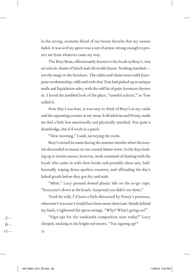in the strong, aromatic blend of our house favorite that my unease faded. It was as if my apron was a suit of armor, strong enough to protect me from whatever came my way.

The Busy Bean, affectionately known to the locals as Busy's, was an eclectic cluster of kitsch and old-world charm. Nothing matched not the mugs or the furniture. The tables and chairs were solid European workmanship, odds and ends that Tom had picked up at antique malls and liquidation sales, with the odd bit of patio furniture thrown in. I loved the jumbled look of the place, "tasteful eclectic," as Tom called it.

Now that I was here, it was easy to think of Busy's as my castle and the separating counter as my moat. It divided me and Penny, made me feel a little less emotionally and physically attached. Not quite a drawbridge, but it'd work in a pinch.

"Slow morning," I said, surveying the room.

Busy's earned its name during the summer months when the tourists descended en masse on our coastal Maine town. In the days leading up to tourist season, however, work consisted of chatting with the locals who came in with their books and portable chess sets, halfheartedly wiping down spotless counters, and offloading the day's baked goods before they got dry and stale.

"Mhm." Lucy pressed domed plastic lids on the to-go cups. "Everyone's down at the beach. Surprised you didn't see them."

Truth be told, I'd been a little distracted by Penny's presence, otherwise I was sure I would have been more observant. Hands behind my back, I tightened the apron strings. "Why? What's going on?"

"Sign-ups for the sandcastle competition start today!" Lucy chirped, sticking in the bright red straws. "You signing up?"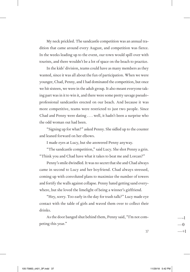My neck prickled. The sandcastle competition was an annual tradition that came around every August, and competition was fierce. In the weeks leading up to the event, our town would spill over with tourists, and there wouldn't be a lot of space on the beach to practice.

In the kids' division, teams could have as many members as they wanted, since it was all about the fun of participation. When we were younger, Chad, Penny, and I had dominated the competition, but once we hit sixteen, we were in the adult group. It also meant everyone taking part was in it to win it, and there were some pretty savage pseudoprofessional sandcastles erected on our beach. And because it was more competitive, teams were restricted to just two people. Since Chad and Penny were dating . . . well, it hadn't been a surprise who the odd woman out had been.

"Signing up for what?" asked Penny. She sidled up to the counter and leaned forward on her elbows.

I made eyes at Lucy, but she answered Penny anyway.

"The sandcastle competition," said Lucy. She shot Penny a grin. "Think you and Chad have what it takes to beat me and Lorcan?"

Penny's smile dwindled. It was no secret that she and Chad always came in second to Lucy and her boyfriend. Chad always stressed, coming up with convoluted plans to maximize the number of towers and fortify the walls against collapse. Penny hated getting sand everywhere, but she loved the limelight of being a winner's girlfriend.

"Hey, sorry. Too early in the day for trash talk?" Lucy made eye contact with the table of girls and waved them over to collect their drinks.

As the door banged shut behind them, Penny said, "I'm not competing this year."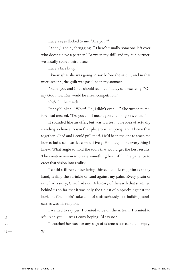Lucy's eyes flicked to me. "Are you?"

"Yeah," I said, shrugging. "There's usually someone left over who doesn't have a partner." Between my skill and my dud partner, we usually scored third place.

Lucy's face lit up.

I knew what she was going to say before she said it, and in that microsecond, the guilt was gasoline in my stomach.

"Babe, you and Chad should team up!" Lucy said excitedly. "Oh my God, now *that* would be a real competition."

She'd lit the match.

Penny blinked. "What? Oh, I didn't even—" She turned to me, forehead creased. "Do you . . . I mean, you could if you wanted."

It sounded like an offer, but was it a test? The idea of actually standing a chance to win first place was tempting, and I knew that together, Chad and I could pull it off. He'd been the one to teach me how to build sandcastles competitively. He'd taught me everything I knew. What angle to hold the tools that would get the best results. The creative vision to create something beautiful. The patience to erect that vision into reality.

I could still remember being thirteen and letting him take my hand, feeling the sprinkle of sand against my palm. Every grain of sand had a story, Chad had said. A history of the earth that stretched behind us so far that it was only the tiniest of pinpricks against the horizon. Chad didn't take a lot of stuff seriously, but building sandcastles was his religion.

I wanted to say yes. I wanted to be on the A team. I wanted to *win*. And yet . . . was Penny hoping I'd say no?

I searched her face for any sign of fakeness but came up empty.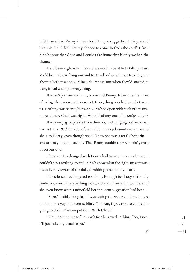Did I owe it to Penny to brush off Lucy's suggestion? To pretend like this didn't feel like my chance to come in from the cold? Like I didn't know that Chad and I could take home first if only we had the chance?

He'd been right when he said we used to be able to talk, just us. We'd been able to hang out and text each other without freaking out about whether we should include Penny. But when they'd started to date, it had changed everything.

It wasn't just me and him, or me and Penny. It became the three of us together, no secret too secret. Everything was laid bare between us. Nothing was secret, but we couldn't be open with each other anymore, either. Chad was right. When had any one of us *really* talked?

It was only group texts from then on, and hanging out became a trio activity. We'd made a few Golden Trio jokes—Penny insisted she was Harry, even though we all knew she was a total Slytherin and at first, I hadn't seen it. That Penny couldn't, or wouldn't, trust us on our own.

The stare I exchanged with Penny had turned into a stalemate. I couldn't say anything, not if I didn't know what the right answer was. I was keenly aware of the dull, throbbing beats of my heart.

The silence had lingered too long. Enough for Lucy's friendly smile to waver into something awkward and uncertain. I wondered if she even knew what a minefield her innocent suggestion had been.

"Sure," I said at long last. I was testing the waters, so I made sure not to look away, not even to blink. "I mean, if you're sure you're not going to do it. The competition. With Chad."

"Uh, I don't think so." Penny's face betrayed nothing. "So, Luce, I'll just take my usual to go."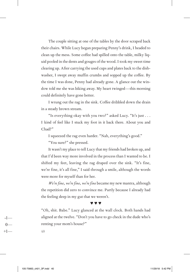The couple sitting at one of the tables by the door scraped back their chairs. While Lucy began preparing Penny's drink, I headed to clean up the mess. Some coffee had spilled onto the table, milky liquid pooled in the dents and gouges of the wood. I took my sweet time clearing up. After carrying the used cups and plates back to the dishwasher, I swept away muffin crumbs and sopped up the coffee. By the time I was done, Penny had already gone. A glance out the window told me she was biking away. My heart twinged—this morning could definitely have gone better.

I wrung out the rag in the sink. Coffee dribbled down the drain in a steady brown stream.

"Is everything okay with you two?" asked Lucy. "It's just . . . I kind of feel like I stuck my foot in it back there. About you and Chad?"

I squeezed the rag even harder. "Nah, everything's good."

"You sure?" she pressed.

It wasn't my place to tell Lucy that my friends had broken up, and that I'd been way more involved in the process than I wanted to be. I shifted my feet, leaving the rag draped over the sink. "It's fine, we're fine, it's all fine," I said through a smile, although the words were more for myself than for her.

*We're fine, we're fine, we're fine* became my new mantra, although the repetition did zero to convince me. Partly because I already had the feeling deep in my gut that we weren't.

#### ♥ ♥ ♥

"Oh, shit. Babe." Lucy glanced at the wall clock. Both hands had aligned at the twelve. "Don't you have to go check in the dude who's renting your mom's house?"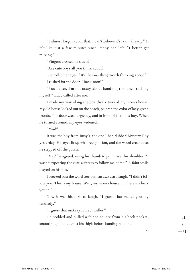"I almost forgot about that. I can't believe it's noon already." It felt like just a few minutes since Penny had left. "I better get moving."

"Fingers crossed he's cute!"

"Are cute boys all you think about?"

She rolled her eyes. "It's the *only* thing worth thinking about."

I rushed for the door. "Back soon!"

"You better. I'm not crazy about handling the lunch rush by myself!" Lucy called after me.

I made my way along the boardwalk toward my mom's house. My old house looked out on the beach, painted the color of lacy green fronds. The door was burgundy, and in front of it stood a boy. When he turned around, my eyes widened.

 $"V_{Q11}"$ 

It was the boy from Busy's, the one I had dubbed Mystery Boy yesterday. His eyes lit up with recognition, and the wood creaked as he stepped off the porch.

"Me," he agreed, using his thumb to point over his shoulder. "I wasn't expecting the cute waitress to follow me home." A faint smile played on his lips.

I breezed past the word *cute* with an awkward laugh. "I didn't follow you. This is my house. Well, my mom's house. I'm here to check you in."

Now it was his turn to laugh. "I guess that makes you my landlady."

"I guess that makes *you* Levi Keller."

He nodded and pulled a folded square from his back pocket, smoothing it out against his thigh before handing it to me.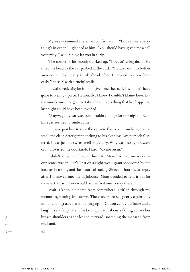My eyes skimmed the email confirmation. "Looks like everything's in order." I glanced at him. "You should have given me a call yesterday. I would have let you in early."

The corner of his mouth quirked up. "It wasn't a big deal." He tilted his head to the car parked at the curb. "I didn't want to bother anyone. I didn't really think ahead when I decided to drive here early," he said with a rueful smile.

I swallowed. Maybe if he'd given me that call, I wouldn't have gone to Penny's place. Rationally, I knew I couldn't blame Levi, but the unwelcome thought had taken hold: Everything that had happened last night could have been avoided.

"Anyway, my car was comfortable enough for one night." Even his eyes seemed to smile at me.

I moved past him to slide the key into the lock. From here, I could smell the clean detergent that clung to his clothing. My stomach fluttered. It was just the sweet smell of laundry. Why was I so hyperaware of it? I twisted the doorknob. Hard. "Come on in."

I didn't know much about him. All Mom had told me was that our renter was in Oar's Rest on a eight-week grant sponsored by the local artist colony and the historical society. Since the house was empty after I'd moved into the lighthouse, Mom decided to rent it out for some extra cash. Levi would be the first one to stay there.

Wait. I knew his name from somewhere. I rifled through my memories, hunting him down. The answer pressed gently against my mind, and I grasped at it, pulling tight. Cotton candy perfume and a laugh like a fairy tale. The bouncy, natural curls falling across her brown shoulders as she leaned forward, snatching the macaron from my hand.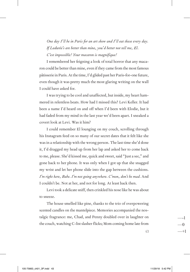*One day I'll be in Paris for an art show and I'll eat these every day. If Ladurée's are better than mine, you'd better not tell me, El. C'est impossible! Your macaron is magnifique!*

I remembered her feigning a look of total horror that any macaron could be better than mine, even if they came from the most famous pâtisserie in Paris. At the time, I'd glided past her Paris-for-one future, even though it was pretty much the most glaring writing on the wall I could have asked for.

I was trying to be cool and unaffected, but inside, my heart hammered in relentless beats. How had I missed this? Levi Keller. It had been a name I'd heard on and off when I'd been with Elodie, but it had faded from my mind in the last year we'd been apart. I sneaked a covert look at Levi. Was it him?

I could remember El lounging on my couch, scrolling through his Instagram feed on so many of our secret dates that it felt like she was in a relationship with the wrong person. The last time she'd done it, I'd dragged my head up from her lap and asked her to come back to me, please. She'd kissed me, quick and sweet, said "Just a sec," and gone back to her phone. It was only when I got up that she snagged my wrist and let her phone slide into the gap between the cushions. *I'm right here, Babe. I'm not going anywhere. C'mon, don't be mad.* And I couldn't be. Not at her, and not for long. At least back then.

Levi took a delicate sniff, then crinkled his nose like he was about to sneeze.

The house smelled like pine, thanks to the trio of overpowering scented candles on the mantelpiece. Memories accompanied the nostalgic fragrance: me, Chad, and Penny doubled over in laughter on the couch, watching C-list slasher flicks; Mom coming home late from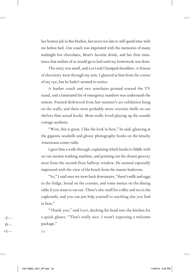her hostess job in Bar Harbor, but never too late to still spend time with me before bed. Our couch was imprinted with the memories of many midnight hot chocolates, Mom's favorite drink, and her firm insistence that neither of us would go to bed until my homework was done.

The entry was small, and Levi and I bumped shoulders. A frisson of electricity went through my arm. I glanced at him from the corner of my eye, but he hadn't seemed to notice.

A leather couch and two armchairs pointed toward the TV stand, and a laminated list of emergency numbers was underneath the remote. Painted driftwood from last summer's art exhibition hung on the walls, and there were probably more oversize shells on our shelves than actual books. Mom really loved playing up the seaside cottage aesthetic.

"Wow, this is great. I like the look in here," he said, glancing at the gigantic seashells and glossy photography books on the kitschy Americana center table.

I gave him a walk-through, explaining which knobs to fiddle with on our ancient washing machine, and pointing out the closest grocery store from the second-floor hallway window. He seemed especially impressed with the view of the beach from the master bedroom.

"So," I said once we were back downstairs, "there's milk and eggs in the fridge, bread on the counter, and some menus on the dining table if you want to eat out. There's also stuff for coffee and tea in the cupboards, and you can just help yourself to anything else you find in here."

"Thank you," said Levi, ducking his head into the kitchen for a quick glance. "That's really nice. I wasn't expecting a welcome package."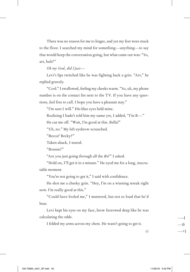There was no reason for me to linger, and yet my feet were stuck to the floor. I searched my mind for something—anything—to say that would keep the conversation going, but what came out was: "So, art, huh?"

*Oh my God, did I just—*

Levi's lips twitched like he was fighting back a grin. "Art," he replied gravely.

"Cool." I swallowed, feeling my cheeks warm. "So, uh, my phone number is on the contact list next to the TV. If you have any questions, feel free to call. I hope you have a pleasant stay."

"I'm sure I will." His blue eyes held mine.

Realizing I hadn't told him my name yet, I added, "I'm B—"

He cut me off. "Wait, I'm good at this. Bella!"

"Uh, no." My left eyebrow scrunched.

"Becca? Becky?"

Taken aback, I stared.

"Bonnie?"

"Are you just going through all the *B*s?" I asked.

"Hold on, I'll get it in a minute." He eyed me for a long, inscrutable moment.

"You're not going to get it," I said with confidence.

He shot me a cheeky grin. "Hey, I'm on a winning streak right now. I'm really good at this."

"Could have fooled me," I muttered, but not so loud that he'd hear.

Levi kept his eyes on my face, brow furrowed deep like he was calculating the odds.

I folded my arms across my chest. He wasn't going to get it.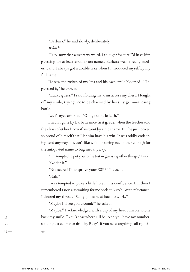"Barbara," he said slowly, deliberately.

*What?!*

Okay, now that was pretty weird. I thought for sure I'd have him guessing for at least another ten names. Barbara wasn't really modern, and I always got a double take when I introduced myself by my full name.

He saw the twitch of my lips and his own smile bloomed. "Ha, guessed it," he crowed.

"Lucky guess," I said, folding my arms across my chest. I fought off my smile, trying not to be charmed by his silly grin—a losing battle.

Levi's eyes crinkled. "Oh, ye of little faith."

I hadn't gone by Barbara since first grade, when the teacher told the class to let her know if we went by a nickname. But he just looked so proud of himself that I let him have his win. It was oddly endearing, and anyway, it wasn't like we'd be seeing each other enough for the antiquated name to bug me, anyway.

"I'm tempted to put you to the test in guessing other things," I said. "Go for it."

"Not scared I'll disprove your ESP?" I teased.

"Nah."

I was tempted to poke a little hole in his confidence. But then I remembered Lucy was waiting for me back at Busy's. With reluctance, I cleared my throat. "Sadly, gotta head back to work."

"Maybe I'll see you around?" he asked.

"Maybe," I acknowledged with a dip of my head, unable to bite back my smile. "You know where I'll be. And you have my number, so, um, just call me or drop by Busy's if you need anything, all right?"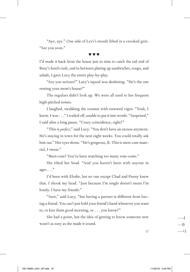"Aye, aye." One side of Levi's mouth lifted in a crooked grin. "See you soon."

### ♥ ♥ ♥

I'd made it back from the house just in time to catch the tail end of Busy's lunch rush, and in between plating up sandwiches, soups, and salads, I gave Lucy the entire play-by-play.

"Are you serious?" Lucy's squeal was deafening. "He's the one renting your mom's house?"

The regulars didn't look up. We were all used to her frequent high-pitched noises.

I laughed, swabbing the counter with renewed vigor. "Yeah, I know. I was . . ." I trailed off, unable to put it into words. "Surprised," I said after a long pause. "Crazy coincidence, right?"

"This is *perfect*," said Lucy. "You don't have an excuse anymore. He's staying in town for the next eight weeks. You could totally ask him out." Her eyes shone. "He's gorgeous, B. This is meet-cute material, I swear."

"Meet-cute? You've been watching too many rom-coms."

She tilted her head. "And you haven't been with anyone in ages . . ."

I'd been with Elodie, but no one except Chad and Penny knew that. I shook my head. "Just because I'm single doesn't mean I'm lonely. I have my friends."

"Sure," said Lucy, "but having a partner is different from having a friend. You can't just hold your friend's hand whenever you want to, or kiss them good morning, or . . . you know?"

She had a point, but the idea of getting to know someone new wasn't as easy as she made it sound.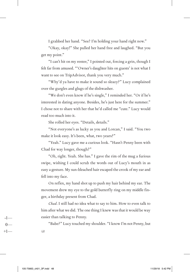I grabbed her hand. "See? I'm holding your hand right now."

"Okay, okay!" She pulled her hand free and laughed. "But you get my point."

"I can't hit on my renter," I pointed out, forcing a grin, though I felt far from amused. "'Owner's daughter hits on guests' is not what I want to see on TripAdvisor, thank you very much."

"Why'd ya have to make it sound so sleazy?" Lucy complained over the gurgles and glugs of the dishwasher.

"We don't even know if he's single," I reminded her. "Or if he's interested in dating anyone. Besides, he's just here for the summer." I chose not to share with her that he'd called me "cute." Lucy would read too much into it.

She rolled her eyes. "Details, details."

"Not everyone's as lucky as you and Lorcan," I said. "You two make it look easy. It's been, what, two years?"

"Yeah." Lucy gave me a curious look. "Hasn't Penny been with Chad for way longer, though?"

"Oh, right. Yeah. She has." I gave the rim of the mug a furious swipe, wishing I could scrub the words out of Lucy's mouth in as easy a gesture. My sun-bleached hair escaped the crook of my ear and fell into my face.

On reflex, my hand shot up to push my hair behind my ear. The movement drew my eye to the gold butterfly ring on my middle finger, a birthday present from Chad.

*Chad.* I still had no idea what to say to him. How to even talk to him after what we did. The one thing I knew was that it would be way easier than talking to Penny.

"Babe?" Lucy touched my shoulder. "I know I'm not Penny, but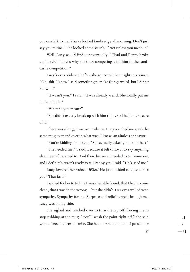you can talk to me. You've looked kinda edgy all morning. Don't just say you're fine." She looked at me sternly. "Not unless you mean it."

Well, Lucy would find out eventually. "Chad and Penny broke up," I said. "That's why she's not competing with him in the sandcastle competition."

Lucy's eyes widened before she squeezed them tight in a wince. "Oh, shit. I knew I said something to make things weird, but I didn't  $k$ now—"

"It wasn't you," I said. "It was already weird. She totally put me in the middle."

"What do you mean?"

"She didn't exactly break up with him right. So I had to take care of it."

There was a long, drawn-out silence. Lucy watched me wash the same mug over and over in what was, I knew, an aimless endeavor.

"You're kidding," she said. "She actually asked you to do that?"

"She needed me," I said, because it felt disloyal to say anything else. Even if I wanted to. And then, because I needed to tell someone, and I definitely wasn't ready to tell Penny yet, I said, "He kissed me."

Lucy lowered her voice. "*What?* He just decided to up and kiss you? That fast?"

I waited for her to tell me I was a terrible friend, that I had to come clean, that I was in the wrong—but she didn't. Her eyes welled with sympathy. Sympathy for me. Surprise and relief surged through me. Lucy was on my side.

She sighed and reached over to turn the tap off, forcing me to stop rubbing at the mug. "You'll wash the paint right off," she said with a forced, cheerful smile. She held her hand out and I passed her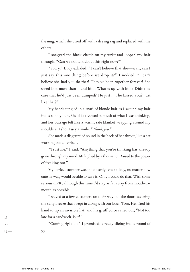the mug, which she dried off with a drying rag and replaced with the others.

I snagged the black elastic on my wrist and looped my hair through. "Can we not talk about this right now?"

"Sorry." Lucy exhaled. "I can't believe that she—wait, can I just say this one thing before we drop it?" I nodded. "I can't believe she had you do that! They've been together forever! She owed him more than—and him! What is up with him? Didn't he care that he'd just been dumped? He just . . . he kissed you? Just like that?"

My hands tangled in a snarl of blonde hair as I wound my hair into a sloppy bun. She'd just voiced so much of what I was thinking, and her outrage felt like a warm, safe blanket wrapping around my shoulders. I shot Lucy a smile. "*Thank you*."

She made a disgruntled sound in the back of her throat, like a cat working out a hairball.

"Trust me," I said. "Anything that you're thinking has already gone through my mind. Multiplied by a thousand. Raised to the power of freaking out."

My perfect summer was in jeopardy, and no boy, no matter how cute he was, would be able to save it. Only I could do that. With some serious CPR, although this time I'd stay as far away from mouth-tomouth as possible.

I waved at a few customers on their way out the door, savoring the salty breeze that swept in along with our boss, Tom. He lifted his hand to tip an invisible hat, and his gruff voice called out, "Not too late for a sandwich, is it?"

"Coming right up!" I promised, already slicing into a round of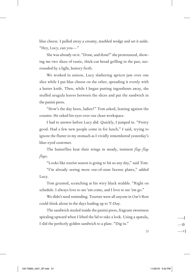blue cheese. I pulled away a creamy, marbled wedge and set it aside. "Hey, Lucy, can you—"

She was already on it. "Done, and done!" she pronounced, showing me two slices of rustic, thick-cut bread grilling in the pan, surrounded by a light, buttery froth.

We worked in unison, Lucy slathering apricot jam over one slice while I put blue cheese on the other, spreading it evenly with a butter knife. Then, while I began putting ingredients away, she stuffed arugula leaves between the slices and put the sandwich in the panini press.

"How's the day been, ladies?" Tom asked, leaning against the counter. He raked his eyes over our clean workspace.

I had to answer before Lucy did. Quickly, I jumped in. "Pretty good. Had a few new people come in for lunch," I said, trying to ignore the flutter in my stomach as I vividly remembered yesterday's blue-eyed customer.

The butterflies beat their wings in steady, insistent *flap flap flaps*.

"Looks like tourist season is going to hit us any day," said Tom.

"I'm already seeing more out-of-state license plates," added Lucy.

Tom grunted, scratching at his wiry black stubble. "Right on schedule. I always love to see 'em come, and I love to see 'em go."

We didn't need reminding. Tourists were all anyone in Oar's Rest could think about in the days leading up to T-Day.

The sandwich sizzled inside the panini press, fragrant sweetness spiraling upward when I lifted the lid to take a look. Using a spatula, I slid the perfectly golden sandwich to a plate. "Dig in."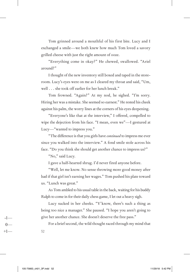Tom grinned around a mouthful of his first bite. Lucy and I exchanged a smile—we both knew how much Tom loved a savory grilled cheese with just the right amount of ooze.

"Everything come in okay?" He chewed, swallowed. "Ariel around?"

I thought of the new inventory still boxed and taped in the storeroom. Lucy's eyes were on me as I cleared my throat and said, "Um, well . . . she took off earlier for her lunch break."

Tom frowned. "Again?" At my nod, he sighed. "I'm sorry. Hiring her was a mistake. She seemed so earnest." He rested his cheek against his palm, the worry lines at the corners of his eyes deepening.

"Everyone's like that at the interview," I offered, compelled to wipe the dejection from his face. "I mean, even we"—I gestured at Lucy—"wanted to impress you."

"The difference is that you girls have *continued* to impress me ever since you walked into the interview." A fond smile stole across his face. "Do you think she should get another chance to impress us?"

"No," said Lucy.

I gave a half-hearted shrug. I'd never fired anyone before.

"Well, let me know. No sense throwing more good money after bad if that girl isn't earning her wages." Tom pushed his plate toward us. "Lunch was great."

As Tom ambled to his usual table in the back, waiting for his buddy Ralph to come in for their daily chess game, I let out a heavy sigh.

Lucy sucked in her cheeks. "Y'know, there's such a thing as being too nice a manager." She paused. "I hope you aren't going to give her another chance. She doesn't deserve the free pass."

For a brief second, the wild thought raced through my mind that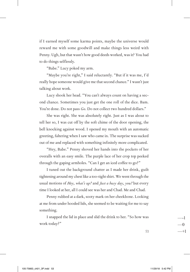if I earned myself some karma points, maybe the universe would reward me with some goodwill and make things less weird with Penny. Ugh, but that wasn't how good deeds worked, was it? You had to do things selflessly.

"Babe." Lucy poked my arm.

"Maybe you're right," I said reluctantly. "But if it was me, I'd really hope someone would give me that second chance." I wasn't just talking about work.

Lucy shook her head. "You can't always count on having a second chance. Sometimes you just get the one roll of the dice. Bam. You're done. Do not pass *Go*. Do not collect two hundred dollars."

She was right. She was absolutely right. Just as I was about to tell her so, I was cut off by the soft chime of the door opening, the bell knocking against wood. I opened my mouth with an automatic greeting, faltering when I saw who came in. The surprise was sucked out of me and replaced with something infinitely more complicated.

"Hey, Babe." Penny shoved her hands into the pockets of her overalls with an easy smile. The purple lace of her crop top peeked through the gaping armholes. "Can I get an iced coffee to go?"

I tuned out the background chatter as I made her drink, guilt tightening around my chest like a too-tight shirt. We went through the usual motions of *Hey, what's up?* and *Just a busy day, you?* but every time I looked at her, all I could see was her and Chad. Me and Chad.

Penny rubbed at a dark, sooty mark on her cheekbone. Looking at me from under hooded lids, she seemed to be waiting for me to say something.

I snapped the lid in place and slid the drink to her. "So how was work today?"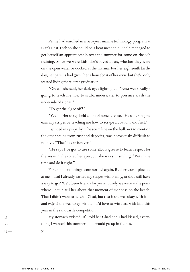Penny had enrolled in a two-year marine technology program at Oar's Rest Tech so she could be a boat mechanic. She'd managed to get herself an apprenticeship over the summer for some on-the-job training. Since we were kids, she'd loved boats, whether they were on the open water or docked at the marina. For her eighteenth birthday, her parents had given her a houseboat of her own, but she'd only started living there after graduation.

"Great!" she said, her dark eyes lighting up. "Next week Rolly's going to teach me how to scuba underwater to pressure wash the underside of a boat."

"To get the algae off?"

"Yeah." Her shrug held a hint of nonchalance. "He's making me earn my stripes by teaching me how to scrape a boat on land first."

I winced in sympathy. The scum line on the hull, not to mention the other stains from rust and deposits, was notoriously difficult to remove. "That'll take forever."

"He says I've got to use some elbow grease to learn respect for the vessel." She rolled her eyes, but she was still smiling. "Put in the time and do it right."

For a moment, things were normal again. But her words plucked at me—had I already earned my stripes with Penny, or did I still have a way to go? We'd been friends for years. Surely we were at the point where I could tell her about that moment of madness on the beach. That I didn't want to be with Chad, but that if she was okay with it and *only* if she was okay with it—I'd love to win first with him this year in the sandcastle competition.

My stomach twisted. If I told her Chad and I had kissed, everything I wanted this summer to be would go up in flames.